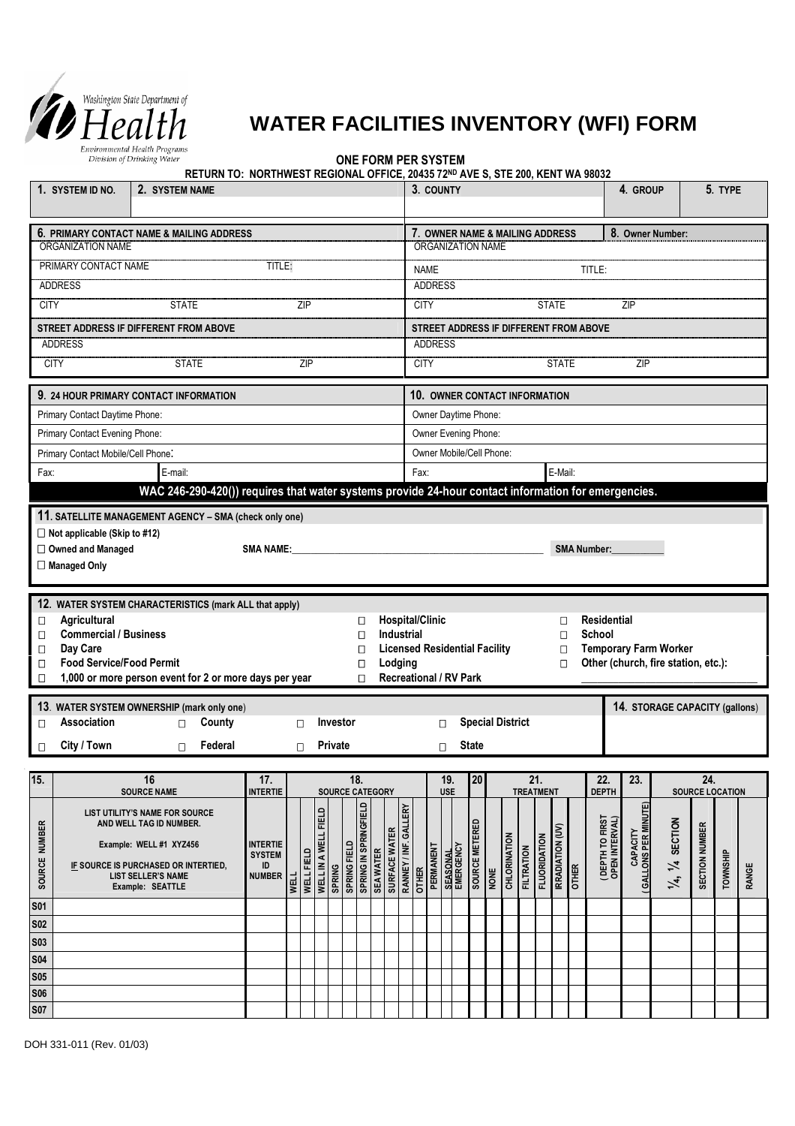

## **WATER FACILITIES INVENTORY (WFI) FORM**

**ONE FORM PER SYSTEM**

**RETURN TO: NORTHWEST REGIONAL OFFICE, 20435 72ND AVE S, STE 200, KENT WA 98032**

| 1. SYSTEM ID NO.                                                                                                                                                                                                                                                                                                                                                                                                                      | 2. SYSTEM NAME                                                                                                                                                                |                                                                                                                                                                                                                               |                           |                      |                               |                               |                                                                          |                                   |                                        | 3. COUNTY        |                               |                |      |                                 |                              |                     |                                                                     |                                   | 4. GROUP                              |                                                                    |                               | 5. TYPE         |       |
|---------------------------------------------------------------------------------------------------------------------------------------------------------------------------------------------------------------------------------------------------------------------------------------------------------------------------------------------------------------------------------------------------------------------------------------|-------------------------------------------------------------------------------------------------------------------------------------------------------------------------------|-------------------------------------------------------------------------------------------------------------------------------------------------------------------------------------------------------------------------------|---------------------------|----------------------|-------------------------------|-------------------------------|--------------------------------------------------------------------------|-----------------------------------|----------------------------------------|------------------|-------------------------------|----------------|------|---------------------------------|------------------------------|---------------------|---------------------------------------------------------------------|-----------------------------------|---------------------------------------|--------------------------------------------------------------------|-------------------------------|-----------------|-------|
| 6. PRIMARY CONTACT NAME & MAILING ADDRESS<br>ORGANIZATION NAME                                                                                                                                                                                                                                                                                                                                                                        |                                                                                                                                                                               |                                                                                                                                                                                                                               |                           |                      |                               |                               | 8. Owner Number:<br>7. OWNER NAME & MAILING ADDRESS<br>ORGANIZATION NAME |                                   |                                        |                  |                               |                |      |                                 |                              |                     |                                                                     |                                   |                                       |                                                                    |                               |                 |       |
| PRIMARY CONTACT NAME<br>TITLE:                                                                                                                                                                                                                                                                                                                                                                                                        |                                                                                                                                                                               |                                                                                                                                                                                                                               |                           |                      |                               |                               | TITLE:<br><b>NAME</b>                                                    |                                   |                                        |                  |                               |                |      |                                 |                              |                     |                                                                     |                                   |                                       |                                                                    |                               |                 |       |
| <b>ADDRESS</b>                                                                                                                                                                                                                                                                                                                                                                                                                        |                                                                                                                                                                               |                                                                                                                                                                                                                               |                           |                      |                               |                               |                                                                          |                                   | <b>ADDRESS</b>                         |                  |                               |                |      |                                 |                              |                     |                                                                     |                                   |                                       |                                                                    |                               |                 |       |
| <b>CITY</b>                                                                                                                                                                                                                                                                                                                                                                                                                           | <b>STATE</b>                                                                                                                                                                  |                                                                                                                                                                                                                               | 7IP                       |                      |                               |                               |                                                                          |                                   | <b>CITY</b><br><b>STATE</b><br>ZIP     |                  |                               |                |      |                                 |                              |                     |                                                                     |                                   |                                       |                                                                    |                               |                 |       |
|                                                                                                                                                                                                                                                                                                                                                                                                                                       | STREET ADDRESS IF DIFFERENT FROM ABOVE                                                                                                                                        |                                                                                                                                                                                                                               |                           |                      |                               |                               |                                                                          |                                   | STREET ADDRESS IF DIFFERENT FROM ABOVE |                  |                               |                |      |                                 |                              |                     |                                                                     |                                   |                                       |                                                                    |                               |                 |       |
| <b>ADDRESS</b>                                                                                                                                                                                                                                                                                                                                                                                                                        |                                                                                                                                                                               |                                                                                                                                                                                                                               |                           |                      |                               |                               |                                                                          |                                   | <b>ADDRESS</b>                         |                  |                               |                |      |                                 |                              |                     |                                                                     |                                   |                                       |                                                                    |                               |                 |       |
| <b>CITY</b>                                                                                                                                                                                                                                                                                                                                                                                                                           | <b>STATE</b>                                                                                                                                                                  |                                                                                                                                                                                                                               | ZIP                       |                      |                               |                               |                                                                          |                                   | <b>CITY</b><br><b>STATE</b><br>ZIP     |                  |                               |                |      |                                 |                              |                     |                                                                     |                                   |                                       |                                                                    |                               |                 |       |
|                                                                                                                                                                                                                                                                                                                                                                                                                                       | 9. 24 HOUR PRIMARY CONTACT INFORMATION                                                                                                                                        |                                                                                                                                                                                                                               |                           |                      |                               |                               |                                                                          |                                   |                                        |                  | 10. OWNER CONTACT INFORMATION |                |      |                                 |                              |                     |                                                                     |                                   |                                       |                                                                    |                               |                 |       |
| Primary Contact Daytime Phone:                                                                                                                                                                                                                                                                                                                                                                                                        |                                                                                                                                                                               |                                                                                                                                                                                                                               |                           |                      |                               |                               |                                                                          |                                   |                                        |                  | Owner Daytime Phone:          |                |      |                                 |                              |                     |                                                                     |                                   |                                       |                                                                    |                               |                 |       |
| Primary Contact Evening Phone:                                                                                                                                                                                                                                                                                                                                                                                                        |                                                                                                                                                                               |                                                                                                                                                                                                                               |                           |                      |                               |                               |                                                                          |                                   |                                        |                  | Owner Evening Phone:          |                |      |                                 |                              |                     |                                                                     |                                   |                                       |                                                                    |                               |                 |       |
| Primary Contact Mobile/Cell Phone:                                                                                                                                                                                                                                                                                                                                                                                                    |                                                                                                                                                                               |                                                                                                                                                                                                                               |                           |                      |                               |                               |                                                                          |                                   | Owner Mobile/Cell Phone:               |                  |                               |                |      |                                 |                              |                     |                                                                     |                                   |                                       |                                                                    |                               |                 |       |
| Fax:                                                                                                                                                                                                                                                                                                                                                                                                                                  | E-mail:                                                                                                                                                                       |                                                                                                                                                                                                                               |                           |                      |                               |                               |                                                                          |                                   | Fax:                                   |                  |                               |                |      |                                 |                              |                     | E-Mail:                                                             |                                   |                                       |                                                                    |                               |                 |       |
|                                                                                                                                                                                                                                                                                                                                                                                                                                       | WAC 246-290-420()) requires that water systems provide 24-hour contact information for emergencies.                                                                           |                                                                                                                                                                                                                               |                           |                      |                               |                               |                                                                          |                                   |                                        |                  |                               |                |      |                                 |                              |                     |                                                                     |                                   |                                       |                                                                    |                               |                 |       |
| $\Box$ Not applicable (Skip to #12)<br>□ Owned and Managed<br>□ Managed Only                                                                                                                                                                                                                                                                                                                                                          | 11. SATELLITE MANAGEMENT AGENCY - SMA (check only one)                                                                                                                        | SMA NAME: The contract of the contract of the contract of the contract of the contract of the contract of the contract of the contract of the contract of the contract of the contract of the contract of the contract of the |                           |                      |                               |                               |                                                                          |                                   |                                        |                  |                               |                |      |                                 |                              |                     |                                                                     | <b>SMA Number:</b>                |                                       |                                                                    |                               |                 |       |
| 12. WATER SYSTEM CHARACTERISTICS (mark ALL that apply)<br><b>Agricultural</b><br><b>Hospital/Clinic</b><br>О<br>□<br><b>Commercial / Business</b><br>Industrial<br>$\Box$<br>$\Box$<br>Day Care<br><b>Licensed Residential Facility</b><br>$\Box$<br>$\Box$<br><b>Food Service/Food Permit</b><br>Lodging<br>$\Box$<br>$\Box$<br>Recreational / RV Park<br>1,000 or more person event for 2 or more days per year<br>$\Box$<br>$\Box$ |                                                                                                                                                                               |                                                                                                                                                                                                                               |                           |                      |                               |                               |                                                                          |                                   |                                        |                  |                               |                |      | П<br>$\Box$<br>$\Box$<br>$\Box$ | <b>Residential</b><br>School |                     | <b>Temporary Farm Worker</b><br>Other (church, fire station, etc.): |                                   |                                       |                                                                    |                               |                 |       |
|                                                                                                                                                                                                                                                                                                                                                                                                                                       | 13. WATER SYSTEM OWNERSHIP (mark only one)                                                                                                                                    |                                                                                                                                                                                                                               |                           |                      |                               |                               |                                                                          |                                   |                                        |                  |                               |                |      |                                 |                              |                     |                                                                     |                                   |                                       | 14. STORAGE CAPACITY (gallons)                                     |                               |                 |       |
| <b>Association</b><br>$\Box$                                                                                                                                                                                                                                                                                                                                                                                                          | County<br>Investor<br>П<br>П                                                                                                                                                  |                                                                                                                                                                                                                               |                           |                      |                               |                               |                                                                          | <b>Special District</b><br>$\Box$ |                                        |                  |                               |                |      |                                 |                              |                     |                                                                     |                                   |                                       |                                                                    |                               |                 |       |
| City / Town<br>$\Box$                                                                                                                                                                                                                                                                                                                                                                                                                 | Federal<br>$\Box$                                                                                                                                                             |                                                                                                                                                                                                                               | $\Box$                    |                      | Private                       |                               |                                                                          |                                   | <b>State</b><br>$\Box$                 |                  |                               |                |      |                                 |                              |                     |                                                                     |                                   |                                       |                                                                    |                               |                 |       |
|                                                                                                                                                                                                                                                                                                                                                                                                                                       |                                                                                                                                                                               |                                                                                                                                                                                                                               |                           |                      |                               |                               |                                                                          |                                   |                                        |                  |                               |                |      |                                 |                              |                     |                                                                     |                                   |                                       |                                                                    |                               |                 |       |
| 15.                                                                                                                                                                                                                                                                                                                                                                                                                                   | 16<br><b>SOURCE NAME</b>                                                                                                                                                      | 17.<br><b>INTERTIE</b>                                                                                                                                                                                                        |                           |                      |                               | 18.<br><b>SOURCE CATEGORY</b> |                                                                          |                                   |                                        |                  | 19.<br><b>USE</b>             | 20             |      |                                 | 21.<br><b>TREATMENT</b>      |                     |                                                                     | 22.<br><b>DEPTH</b>               | 23.                                   |                                                                    | 24.<br><b>SOURCE LOCATION</b> |                 |       |
| SOURCE NUMBER                                                                                                                                                                                                                                                                                                                                                                                                                         | LIST UTILITY'S NAME FOR SOURCE<br>AND WELL TAG ID NUMBER.<br>Example: WELL #1 XYZ456<br>IF SOURCE IS PURCHASED OR INTERTIED,<br><b>LIST SELLER'S NAME</b><br>Example: SEATTLE | <b>INTERTIE</b><br><b>SYSTEM</b><br>ID<br><b>NUMBER</b>                                                                                                                                                                       | WELL FIELD<br><b>WELL</b> | WELL IN A WELL FIELD | SPRING FIELD<br><b>SPRING</b> | SPRING IN SPRINGFIELD         | <b>SEA WATER</b>                                                         | SURFACE WATER                     | RANNEY / INF. GALLERY<br><b>OTHER</b>  | <b>PERMANENT</b> | <b>SEASONAL</b><br>EMERGENCY  | SOURCE METERED | NONE | CHLORINATION                    | <b>FILTRATION</b>            | <b>FLUORIDATION</b> | IRRADIATION (UV)<br><b>OTHER</b>                                    | (DEPTH TO FIRST<br>OPEN INTERVAL) | <b>GALLONS PER MINUTE</b><br>CAPACITY | <b>SECTION</b><br>$\overline{\mathcal{X}}$<br>$\overline{\lambda}$ | <b>SECTION NUMBER</b>         | <b>TOWNSHIP</b> | RANGE |
| <b>S01</b>                                                                                                                                                                                                                                                                                                                                                                                                                            |                                                                                                                                                                               |                                                                                                                                                                                                                               |                           |                      |                               |                               |                                                                          |                                   |                                        |                  |                               |                |      |                                 |                              |                     |                                                                     |                                   |                                       |                                                                    |                               |                 |       |
| <b>S02</b>                                                                                                                                                                                                                                                                                                                                                                                                                            |                                                                                                                                                                               |                                                                                                                                                                                                                               |                           |                      |                               |                               |                                                                          |                                   |                                        |                  |                               |                |      |                                 |                              |                     |                                                                     |                                   |                                       |                                                                    |                               |                 |       |
| <b>S03</b>                                                                                                                                                                                                                                                                                                                                                                                                                            |                                                                                                                                                                               |                                                                                                                                                                                                                               |                           |                      |                               |                               |                                                                          |                                   |                                        |                  |                               |                |      |                                 |                              |                     |                                                                     |                                   |                                       |                                                                    |                               |                 |       |
| <b>S04</b>                                                                                                                                                                                                                                                                                                                                                                                                                            |                                                                                                                                                                               |                                                                                                                                                                                                                               |                           |                      |                               |                               |                                                                          |                                   |                                        |                  |                               |                |      |                                 |                              |                     |                                                                     |                                   |                                       |                                                                    |                               |                 |       |
| <b>S05</b>                                                                                                                                                                                                                                                                                                                                                                                                                            |                                                                                                                                                                               |                                                                                                                                                                                                                               |                           |                      |                               |                               |                                                                          |                                   |                                        |                  |                               |                |      |                                 |                              |                     |                                                                     |                                   |                                       |                                                                    |                               |                 |       |
| <b>S06</b>                                                                                                                                                                                                                                                                                                                                                                                                                            |                                                                                                                                                                               |                                                                                                                                                                                                                               |                           |                      |                               |                               |                                                                          |                                   |                                        |                  |                               |                |      |                                 |                              |                     |                                                                     |                                   |                                       |                                                                    |                               |                 |       |
| <b>S07</b>                                                                                                                                                                                                                                                                                                                                                                                                                            |                                                                                                                                                                               |                                                                                                                                                                                                                               |                           |                      |                               |                               |                                                                          |                                   |                                        |                  |                               |                |      |                                 |                              |                     |                                                                     |                                   |                                       |                                                                    |                               |                 |       |